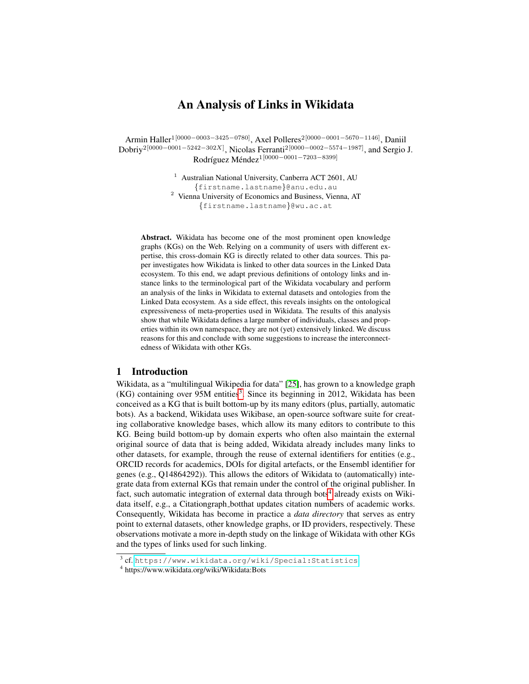# An Analysis of Links in Wikidata

<span id="page-0-2"></span>Armin Haller1[0000−0003−3425−0780], Axel Polleres2[0000−0001−5670−1146], Daniil Dobriy<sup>2[0000–0001–5242–302X]</sup>, Nicolas Ferranti<sup>2[0000–0002–5574–1987]</sup>, and Sergio J. Rodríguez Méndez $^{1[0000-0001-7203-8399]}$ 

> <sup>1</sup> Australian National University, Canberra ACT 2601, AU {firstname.lastname}@anu.edu.au <sup>2</sup> Vienna University of Economics and Business, Vienna, AT {firstname.lastname}@wu.ac.at

Abstract. Wikidata has become one of the most prominent open knowledge graphs (KGs) on the Web. Relying on a community of users with different expertise, this cross-domain KG is directly related to other data sources. This paper investigates how Wikidata is linked to other data sources in the Linked Data ecosystem. To this end, we adapt previous definitions of ontology links and instance links to the terminological part of the Wikidata vocabulary and perform an analysis of the links in Wikidata to external datasets and ontologies from the Linked Data ecosystem. As a side effect, this reveals insights on the ontological expressiveness of meta-properties used in Wikidata. The results of this analysis show that while Wikidata defines a large number of individuals, classes and properties within its own namespace, they are not (yet) extensively linked. We discuss reasons for this and conclude with some suggestions to increase the interconnectedness of Wikidata with other KGs.

# 1 Introduction

Wikidata, as a "multilingual Wikipedia for data" [\[25\]](#page-16-0), has grown to a knowledge graph (KG) containing over 95M entities<sup>[3](#page-0-0)</sup>. Since its beginning in 2012, Wikidata has been conceived as a KG that is built bottom-up by its many editors (plus, partially, automatic bots). As a backend, Wikidata uses Wikibase, an open-source software suite for creating collaborative knowledge bases, which allow its many editors to contribute to this KG. Being build bottom-up by domain experts who often also maintain the external original source of data that is being added, Wikidata already includes many links to other datasets, for example, through the reuse of external identifiers for entities (e.g., ORCID records for academics, DOIs for digital artefacts, or the Ensembl identifier for genes (e.g., Q14864292)). This allows the editors of Wikidata to (automatically) integrate data from external KGs that remain under the control of the original publisher. In fact, such automatic integration of external data through bots<sup>[4](#page-0-1)</sup> already exists on Wikidata itself, e.g., a Citationgraph botthat updates citation numbers of academic works. Consequently, Wikidata has become in practice a *data directory* that serves as entry point to external datasets, other knowledge graphs, or ID providers, respectively. These observations motivate a more in-depth study on the linkage of Wikidata with other KGs and the types of links used for such linking.

<span id="page-0-0"></span><sup>3</sup> cf. <https://www.wikidata.org/wiki/Special:Statistics>

<span id="page-0-1"></span><sup>4</sup> https://www.wikidata.org/wiki/Wikidata:Bots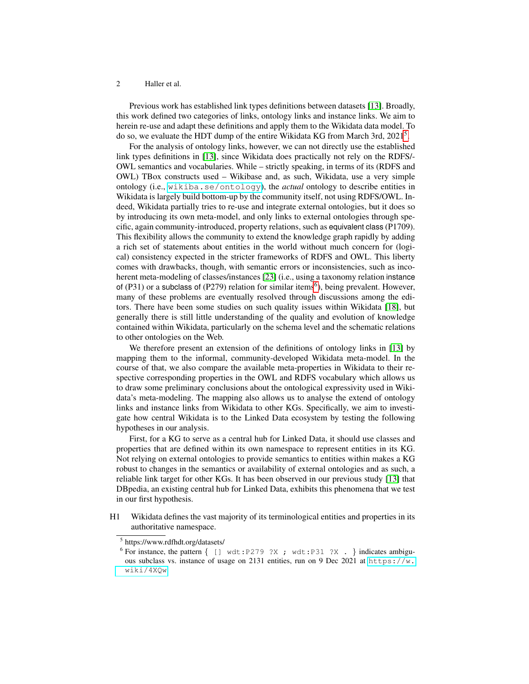Previous work has established link types definitions between datasets [\[13\]](#page-15-0). Broadly, this work defined two categories of links, ontology links and instance links. We aim to herein re-use and adapt these definitions and apply them to the Wikidata data model. To do so, we evaluate the HDT dump of the entire Wikidata KG from March 3rd, 2021[5](#page-1-0) .

For the analysis of ontology links, however, we can not directly use the established link types definitions in [\[13\]](#page-15-0), since Wikidata does practically not rely on the RDFS/- OWL semantics and vocabularies. While – strictly speaking, in terms of its (RDFS and OWL) TBox constructs used – Wikibase and, as such, Wikidata, use a very simple ontology (i.e., <wikiba.se/ontology>), the *actual* ontology to describe entities in Wikidata is largely build bottom-up by the community itself, not using RDFS/OWL. Indeed, Wikidata partially tries to re-use and integrate external ontologies, but it does so by introducing its own meta-model, and only links to external ontologies through specific, again community-introduced, property relations, such as equivalent class (P1709). This flexibility allows the community to extend the knowledge graph rapidly by adding a rich set of statements about entities in the world without much concern for (logical) consistency expected in the stricter frameworks of RDFS and OWL. This liberty comes with drawbacks, though, with semantic errors or inconsistencies, such as inco-herent meta-modeling of classes/instances [\[23\]](#page-16-1) (i.e., using a taxonomy relation instance of (P31) or a subclass of (P279) relation for similar items<sup>[6](#page-1-1)</sup>), being prevalent. However, many of these problems are eventually resolved through discussions among the editors. There have been some studies on such quality issues within Wikidata [\[18\]](#page-15-1), but generally there is still little understanding of the quality and evolution of knowledge contained within Wikidata, particularly on the schema level and the schematic relations to other ontologies on the Web.

We therefore present an extension of the definitions of ontology links in [\[13\]](#page-15-0) by mapping them to the informal, community-developed Wikidata meta-model. In the course of that, we also compare the available meta-properties in Wikidata to their respective corresponding properties in the OWL and RDFS vocabulary which allows us to draw some preliminary conclusions about the ontological expressivity used in Wikidata's meta-modeling. The mapping also allows us to analyse the extend of ontology links and instance links from Wikidata to other KGs. Specifically, we aim to investigate how central Wikidata is to the Linked Data ecosystem by testing the following hypotheses in our analysis.

First, for a KG to serve as a central hub for Linked Data, it should use classes and properties that are defined within its own namespace to represent entities in its KG. Not relying on external ontologies to provide semantics to entities within makes a KG robust to changes in the semantics or availability of external ontologies and as such, a reliable link target for other KGs. It has been observed in our previous study [\[13\]](#page-15-0) that DBpedia, an existing central hub for Linked Data, exhibits this phenomena that we test in our first hypothesis.

H1 Wikidata defines the vast majority of its terminological entities and properties in its authoritative namespace.

<span id="page-1-0"></span><sup>5</sup> https://www.rdfhdt.org/datasets/

<span id="page-1-1"></span><sup>&</sup>lt;sup>6</sup> For instance, the pattern  $\{$  [] wdt:P279 ?X ; wdt:P31 ?X . } indicates ambiguous subclass vs. instance of usage on 2131 entities, run on 9 Dec 2021 at [https://w.](https://w.wiki/4XQw) [wiki/4XQw](https://w.wiki/4XQw)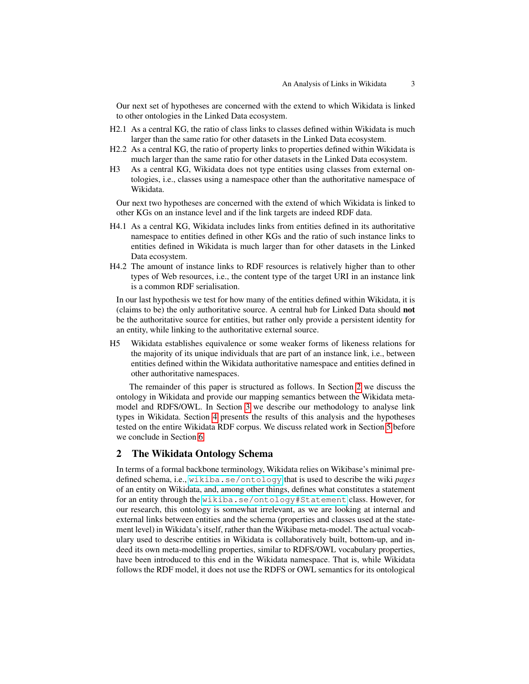Our next set of hypotheses are concerned with the extend to which Wikidata is linked to other ontologies in the Linked Data ecosystem.

- H2.1 As a central KG, the ratio of class links to classes defined within Wikidata is much larger than the same ratio for other datasets in the Linked Data ecosystem.
- H2.2 As a central KG, the ratio of property links to properties defined within Wikidata is much larger than the same ratio for other datasets in the Linked Data ecosystem.
- H3 As a central KG, Wikidata does not type entities using classes from external ontologies, i.e., classes using a namespace other than the authoritative namespace of Wikidata.

Our next two hypotheses are concerned with the extend of which Wikidata is linked to other KGs on an instance level and if the link targets are indeed RDF data.

- H4.1 As a central KG, Wikidata includes links from entities defined in its authoritative namespace to entities defined in other KGs and the ratio of such instance links to entities defined in Wikidata is much larger than for other datasets in the Linked Data ecosystem.
- H4.2 The amount of instance links to RDF resources is relatively higher than to other types of Web resources, i.e., the content type of the target URI in an instance link is a common RDF serialisation.

In our last hypothesis we test for how many of the entities defined within Wikidata, it is (claims to be) the only authoritative source. A central hub for Linked Data should not be the authoritative source for entities, but rather only provide a persistent identity for an entity, while linking to the authoritative external source.

H5 Wikidata establishes equivalence or some weaker forms of likeness relations for the majority of its unique individuals that are part of an instance link, i.e., between entities defined within the Wikidata authoritative namespace and entities defined in other authoritative namespaces.

The remainder of this paper is structured as follows. In Section [2](#page-2-0) we discuss the ontology in Wikidata and provide our mapping semantics between the Wikidata metamodel and RDFS/OWL. In Section [3](#page-6-0) we describe our methodology to analyse link types in Wikidata. Section [4](#page-9-0) presents the results of this analysis and the hypotheses tested on the entire Wikidata RDF corpus. We discuss related work in Section [5](#page-13-0) before we conclude in Section [6.](#page-14-0)

# <span id="page-2-0"></span>2 The Wikidata Ontology Schema

In terms of a formal backbone terminology, Wikidata relies on Wikibase's minimal predefined schema, i.e., <wikiba.se/ontology> that is used to describe the wiki *pages* of an entity on Wikidata, and, among other things, defines what constitutes a statement for an entity through the <wikiba.se/ontology#Statement> class. However, for our research, this ontology is somewhat irrelevant, as we are looking at internal and external links between entities and the schema (properties and classes used at the statement level) in Wikidata's itself, rather than the Wikibase meta-model. The actual vocabulary used to describe entities in Wikidata is collaboratively built, bottom-up, and indeed its own meta-modelling properties, similar to RDFS/OWL vocabulary properties, have been introduced to this end in the Wikidata namespace. That is, while Wikidata follows the RDF model, it does not use the RDFS or OWL semantics for its ontological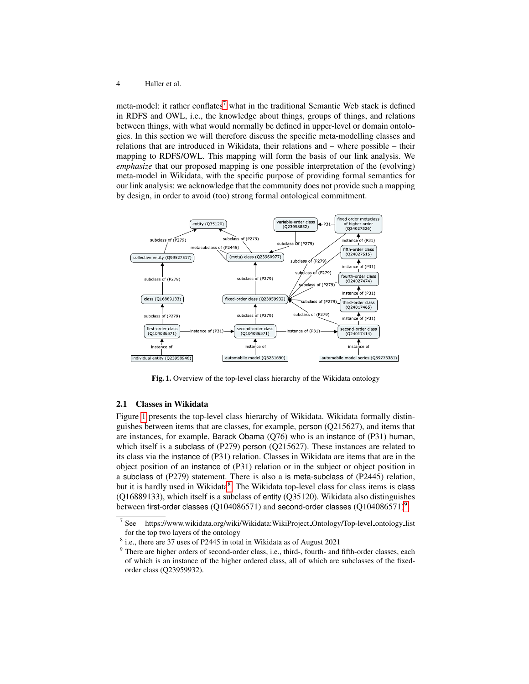meta-model: it rather conflates<sup>[7](#page-3-0)</sup> what in the traditional Semantic Web stack is defined in RDFS and OWL, i.e., the knowledge about things, groups of things, and relations between things, with what would normally be defined in upper-level or domain ontologies. In this section we will therefore discuss the specific meta-modelling classes and relations that are introduced in Wikidata, their relations and – where possible – their mapping to RDFS/OWL. This mapping will form the basis of our link analysis. We *emphasize* that our proposed mapping is one possible interpretation of the (evolving) meta-model in Wikidata, with the specific purpose of providing formal semantics for our link analysis: we acknowledge that the community does not provide such a mapping by design, in order to avoid (too) strong formal ontological commitment.



<span id="page-3-1"></span>Fig. 1. Overview of the top-level class hierarchy of the Wikidata ontology

# 2.1 Classes in Wikidata

Figure [1](#page-3-1) presents the top-level class hierarchy of Wikidata. Wikidata formally distinguishes between items that are classes, for example, person (Q215627), and items that are instances, for example, Barack Obama (Q76) who is an instance of (P31) human, which itself is a subclass of (P279) person (Q215627). These instances are related to its class via the instance of (P31) relation. Classes in Wikidata are items that are in the object position of an instance of (P31) relation or in the subject or object position in a subclass of (P279) statement. There is also a is meta-subclass of (P2445) relation, but it is hardly used in Wikidata<sup>[8](#page-3-2)</sup>. The Wikidata top-level class for class items is class (Q16889133), which itself is a subclass of entity (Q35120). Wikidata also distinguishes between first-order classes (Q104086571) and second-order classes (Q104086571) $^9$  $^9$ .

<span id="page-3-0"></span><sup>&</sup>lt;sup>7</sup> See https://www.wikidata.org/wiki/Wikidata:WikiProject\_Ontology/Top-level\_ontology\_list for the top two layers of the ontology

<span id="page-3-2"></span><sup>&</sup>lt;sup>8</sup> i.e., there are 37 uses of P2445 in total in Wikidata as of August 2021

<span id="page-3-3"></span> $9$  There are higher orders of second-order class, i.e., third-, fourth- and fifth-order classes, each of which is an instance of the higher ordered class, all of which are subclasses of the fixedorder class (Q23959932).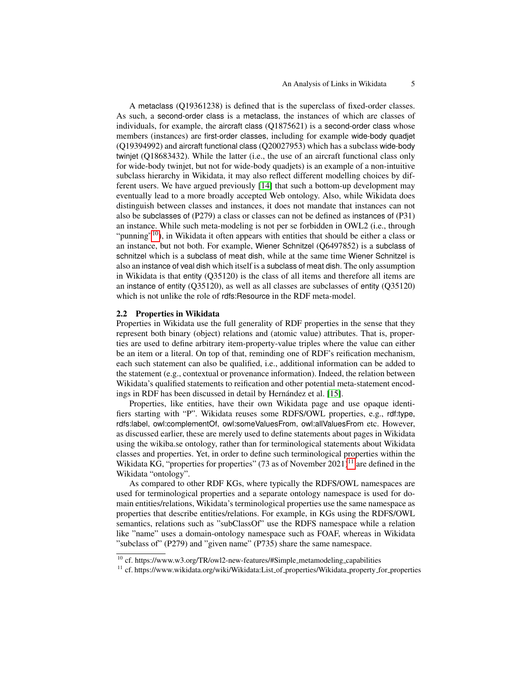#### An Analysis of Links in Wikidata 5

A metaclass (Q19361238) is defined that is the superclass of fixed-order classes. As such, a second-order class is a metaclass, the instances of which are classes of individuals, for example, the aircraft class (Q1875621) is a second-order class whose members (instances) are first-order classes, including for example wide-body quadjet (Q19394992) and aircraft functional class (Q20027953) which has a subclass wide-body twinjet (Q18683432). While the latter (i.e., the use of an aircraft functional class only for wide-body twinjet, but not for wide-body quadjets) is an example of a non-intuitive subclass hierarchy in Wikidata, it may also reflect different modelling choices by different users. We have argued previously [\[14\]](#page-15-2) that such a bottom-up development may eventually lead to a more broadly accepted Web ontology. Also, while Wikidata does distinguish between classes and instances, it does not mandate that instances can not also be subclasses of (P279) a class or classes can not be defined as instances of (P31) an instance. While such meta-modeling is not per se forbidden in OWL2 (i.e., through "punning"<sup>[10](#page-4-0)</sup>), in Wikidata it often appears with entities that should be either a class or an instance, but not both. For example, Wiener Schnitzel (Q6497852) is a subclass of schnitzel which is a subclass of meat dish, while at the same time Wiener Schnitzel is also an instance of veal dish which itself is a subclass of meat dish. The only assumption in Wikidata is that entity (Q35120) is the class of all items and therefore all items are an instance of entity (Q35120), as well as all classes are subclasses of entity (Q35120) which is not unlike the role of rdfs: Resource in the RDF meta-model.

### 2.2 Properties in Wikidata

Properties in Wikidata use the full generality of RDF properties in the sense that they represent both binary (object) relations and (atomic value) attributes. That is, properties are used to define arbitrary item-property-value triples where the value can either be an item or a literal. On top of that, reminding one of RDF's reification mechanism, each such statement can also be qualified, i.e., additional information can be added to the statement (e.g., contextual or provenance information). Indeed, the relation between Wikidata's qualified statements to reification and other potential meta-statement encod-ings in RDF has been discussed in detail by Hernández et al. [\[15\]](#page-15-3).

Properties, like entities, have their own Wikidata page and use opaque identifiers starting with "P". Wikidata reuses some RDFS/OWL properties, e.g., rdf:type, rdfs:label, owl:complementOf, owl:someValuesFrom, owl:allValuesFrom etc. However, as discussed earlier, these are merely used to define statements about pages in Wikidata using the wikiba.se ontology, rather than for terminological statements about Wikidata classes and properties. Yet, in order to define such terminological properties within the Wikidata KG, "properties for properties" (73 as of November 2021)<sup>[11](#page-4-1)</sup> are defined in the Wikidata "ontology".

As compared to other RDF KGs, where typically the RDFS/OWL namespaces are used for terminological properties and a separate ontology namespace is used for domain entities/relations, Wikidata's terminological properties use the same namespace as properties that describe entities/relations. For example, in KGs using the RDFS/OWL semantics, relations such as "subClassOf" use the RDFS namespace while a relation like "name" uses a domain-ontology namespace such as FOAF, whereas in Wikidata "subclass of" (P279) and "given name" (P735) share the same namespace.

<span id="page-4-0"></span><sup>&</sup>lt;sup>10</sup> cf. https://www.w3.org/TR/owl2-new-features/#Simple\_metamodeling\_capabilities

<span id="page-4-1"></span><sup>&</sup>lt;sup>11</sup> cf. https://www.wikidata.org/wiki/Wikidata:List\_of\_properties/Wikidata\_property\_for\_properties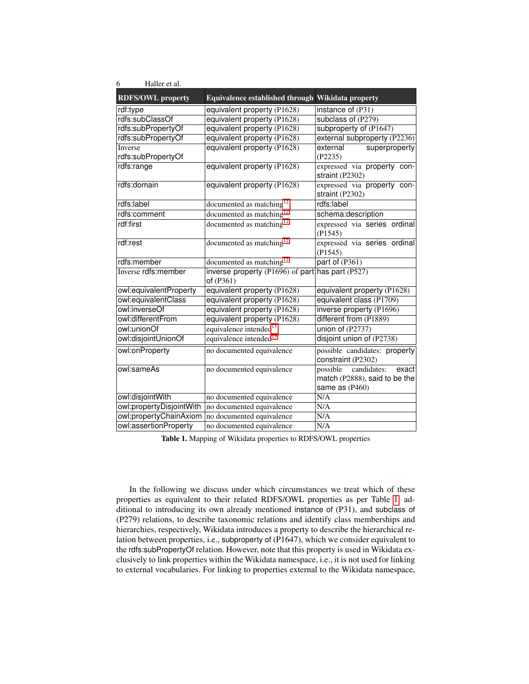| Haller et al.<br>6       |                                                                 |                                                                                     |
|--------------------------|-----------------------------------------------------------------|-------------------------------------------------------------------------------------|
| <b>RDFS/OWL property</b> | Equivalence established through Wikidata property               |                                                                                     |
| rdf:type                 | equivalent property (P1628)                                     | instance of $(P31)$                                                                 |
| rdfs:subClassOf          | equivalent property (P1628)                                     | subclass of $(P279)$                                                                |
| rdfs:subPropertyOf       | equivalent property (P1628)                                     | subproperty of (P1647)                                                              |
| rdfs:subPropertyOf       | equivalent property (P1628)                                     | external subproperty (P2236)                                                        |
| <b>Inverse</b>           | equivalent property (P1628)                                     | external<br>superproperty                                                           |
| rdfs:subPropertyOf       |                                                                 | (P2235)                                                                             |
| rdfs:range               | equivalent property (P1628)                                     | expressed via property con-<br>straint (P2302)                                      |
| rdfs:domain              | equivalent property (P1628)                                     | expressed via property con-<br>straint (P2302)                                      |
| rdfs:label               | documented as matching <sup>12</sup>                            | rdfs:label                                                                          |
| rdfs:comment             | documented as matching <sup>12</sup>                            | schema:description                                                                  |
| rdf:first                | documented as matching <sup>12</sup>                            | expressed via series ordinal<br>(P1545)                                             |
| rdf:rest                 | documented as matching <sup>12</sup>                            | expressed via series ordinal<br>(P1545)                                             |
| rdfs:member              | documented as matching <sup>12</sup>                            | part of $(P361)$                                                                    |
| Inverse rdfs:member      | inverse property (P1696) of part has part (P527)<br>of $(P361)$ |                                                                                     |
| owl:equivalentProperty   | equivalent property (P1628)                                     | equivalent property (P1628)                                                         |
| owl:equivalentClass      | equivalent property (P1628)                                     | equivalent class (P1709)                                                            |
| owl:inverseOf            | equivalent property (P1628)                                     | inverse property (P1696)                                                            |
| owl:differentFrom        | equivalent property (P1628)                                     | different from (P1889)                                                              |
| owl:unionOf              | equivalence intended <sup>13</sup>                              | union of $(P2737)$                                                                  |
| owl:disjointUnionOf      | equivalence intended <sup>13</sup>                              | disjoint union of (P2738)                                                           |
| owl:onProperty           | no documented equivalence                                       | possible candidates: property<br>constraint (P2302)                                 |
| owl:sameAs               | no documented equivalence                                       | possible<br>candidates:<br>exact<br>match (P2888), said to be the<br>same as (P460) |
| owl:disjointWith         | no documented equivalence                                       | N/A                                                                                 |
| owl:propertyDisjointWith | no documented equivalence                                       | N/A                                                                                 |
| owl:propertyChainAxiom   | no documented equivalence                                       | N/A                                                                                 |
| owl:assertionProperty    | no documented equivalence                                       | N/A                                                                                 |

<span id="page-5-0"></span>Table 1. Mapping of Wikidata properties to RDFS/OWL properties

In the following we discuss under which circumstances we treat which of these properties as equivalent to their related RDFS/OWL properties as per Table [1:](#page-5-0) additional to introducing its own already mentioned instance of (P31), and subclass of (P279) relations, to describe taxonomic relations and identify class memberships and hierarchies, respectively, Wikidata introduces a property to describe the hierarchical relation between properties, i.e., subproperty of (P1647), which we consider equivalent to the rdfs:subPropertyOf relation. However, note that this property is used in Wikidata exclusively to link properties within the Wikidata namespace, i.e., it is not used for linking to external vocabularies. For linking to properties external to the Wikidata namespace,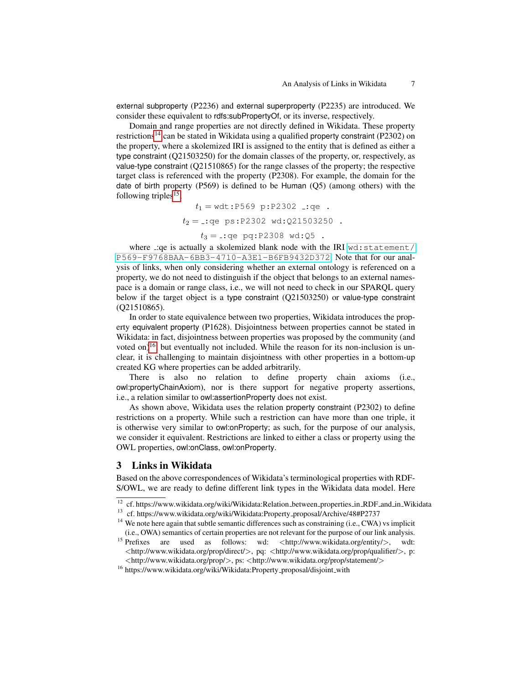external subproperty (P2236) and external superproperty (P2235) are introduced. We consider these equivalent to rdfs:subPropertyOf, or its inverse, respectively.

Domain and range properties are not directly defined in Wikidata. These property restrictions<sup>[14](#page-6-1)</sup> can be stated in Wikidata using a qualified property constraint (P2302) on the property, where a skolemized IRI is assigned to the entity that is defined as either a type constraint (Q21503250) for the domain classes of the property, or, respectively, as value-type constraint (Q21510865) for the range classes of the property; the respective target class is referenced with the property (P2308). For example, the domain for the date of birth property (P569) is defined to be Human  $(Q5)$  (among others) with the following triples<sup>[15](#page-6-2)</sup>,

 $t_1 = \text{wdt}:P569 \text{ p}:P2302 \text{ :} qe$ .  $t_2 =$ :qe ps:P2302 wd:Q21503250.  $t_3 =$  : qe pq:P2308 wd:Q5.

where :: qe is actually a skolemized blank node with the IRI wd: statement/

[P569-F9768BAA-6BB3-4710-A3E1-B6FB9432D372](wd:statement/P569-F9768BAA-6BB3-4710-A3E1-B6FB9432D372). Note that for our analysis of links, when only considering whether an external ontology is referenced on a property, we do not need to distinguish if the object that belongs to an external namespace is a domain or range class, i.e., we will not need to check in our SPARQL query below if the target object is a type constraint (Q21503250) or value-type constraint (Q21510865).

In order to state equivalence between two properties, Wikidata introduces the property equivalent property (P1628). Disjointness between properties cannot be stated in Wikidata: in fact, disjointness between properties was proposed by the community (and voted on)<sup>[16](#page-6-3)</sup>, but eventually not included. While the reason for its non-inclusion is unclear, it is challenging to maintain disjointness with other properties in a bottom-up created KG where properties can be added arbitrarily.

There is also no relation to define property chain axioms (i.e., owl:propertyChainAxiom), nor is there support for negative property assertions, i.e., a relation similar to owl:assertionProperty does not exist.

As shown above, Wikidata uses the relation property constraint (P2302) to define restrictions on a property. While such a restriction can have more than one triple, it is otherwise very similar to owl:onProperty; as such, for the purpose of our analysis, we consider it equivalent. Restrictions are linked to either a class or property using the OWL properties, owl:onClass, owl:onProperty.

# <span id="page-6-0"></span>3 Links in Wikidata

Based on the above correspondences of Wikidata's terminological properties with RDF-S/OWL, we are ready to define different link types in the Wikidata data model. Here

 $\frac{12}{12}$  cf. https://www.wikidata.org/wiki/Wikidata:Relation\_between\_properties\_in\_RDF\_and\_in\_Wikidata

<sup>13</sup> cf. https://www.wikidata.org/wiki/Wikidata:Property proposal/Archive/48#P2737

<span id="page-6-1"></span><sup>&</sup>lt;sup>14</sup> We note here again that subtle semantic differences such as constraining (i.e., CWA) vs implicit (i.e., OWA) semantics of certain properties are not relevant for the purpose of our link analysis.

<span id="page-6-2"></span><sup>&</sup>lt;sup>15</sup> Prefixes are used as follows: wd: <http://www.wikidata.org/entity/>, wdt: <http://www.wikidata.org/prop/direct/>, pq: <http://www.wikidata.org/prop/qualifier/>, p: <http://www.wikidata.org/prop/>, ps: <http://www.wikidata.org/prop/statement/>

<span id="page-6-3"></span><sup>&</sup>lt;sup>16</sup> https://www.wikidata.org/wiki/Wikidata:Property\_proposal/disjoint\_with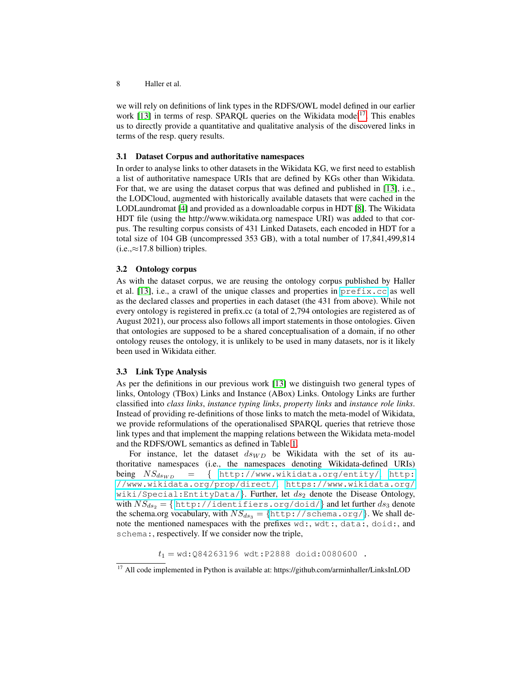we will rely on definitions of link types in the RDFS/OWL model defined in our earlier work  $[13]$  in terms of resp. SPARQL queries on the Wikidata model<sup>[17](#page-7-0)</sup>. This enables us to directly provide a quantitative and qualitative analysis of the discovered links in terms of the resp. query results.

### 3.1 Dataset Corpus and authoritative namespaces

In order to analyse links to other datasets in the Wikidata KG, we first need to establish a list of authoritative namespace URIs that are defined by KGs other than Wikidata. For that, we are using the dataset corpus that was defined and published in [\[13\]](#page-15-0), i.e., the LODCloud, augmented with historically available datasets that were cached in the LODLaundromat [\[4\]](#page-15-4) and provided as a downloadable corpus in HDT [\[8\]](#page-15-5). The Wikidata HDT file (using the http://www.wikidata.org namespace URI) was added to that corpus. The resulting corpus consists of 431 Linked Datasets, each encoded in HDT for a total size of 104 GB (uncompressed 353 GB), with a total number of 17,841,499,814  $(i.e., \approx 17.8 \text{ billion})$  triples.

### <span id="page-7-1"></span>3.2 Ontology corpus

As with the dataset corpus, we are reusing the ontology corpus published by Haller et al.  $[13]$ , i.e., a crawl of the unique classes and properties in  $prefix.cc$  as well as the declared classes and properties in each dataset (the 431 from above). While not every ontology is registered in prefix.cc (a total of 2,794 ontologies are registered as of August 2021), our process also follows all import statements in those ontologies. Given that ontologies are supposed to be a shared conceptualisation of a domain, if no other ontology reuses the ontology, it is unlikely to be used in many datasets, nor is it likely been used in Wikidata either.

### 3.3 Link Type Analysis

As per the definitions in our previous work [\[13\]](#page-15-0) we distinguish two general types of links, Ontology (TBox) Links and Instance (ABox) Links. Ontology Links are further classified into *class links*, *instance typing links*, *property links* and *instance role links*. Instead of providing re-definitions of those links to match the meta-model of Wikidata, we provide reformulations of the operationalised SPARQL queries that retrieve those link types and that implement the mapping relations between the Wikidata meta-model and the RDFS/OWL semantics as defined in Table [1.](#page-5-0)

For instance, let the dataset  $ds_{WD}$  be Wikidata with the set of its authoritative namespaces (i.e., the namespaces denoting Wikidata-defined URIs) being  $NS_{dswp}$  = { <http://www.wikidata.org/entity/>, [http:](http://www.wikidata.org/prop/direct/) [//www.wikidata.org/prop/direct/](http://www.wikidata.org/prop/direct/), [https://www.wikidata.org/](https://www.wikidata.org/wiki/Special:EntityData/) [wiki/Special:EntityData/](https://www.wikidata.org/wiki/Special:EntityData/)}. Further, let  $ds_2$  denote the Disease Ontology, with  $NS_{ds_2} = \{ \text{http://identifiers.org/doid/} \}$  $NS_{ds_2} = \{ \text{http://identifiers.org/doid/} \}$  $NS_{ds_2} = \{ \text{http://identifiers.org/doid/} \}$  and let further  $ds_3$  denote the schema.org vocabulary, with  $NS_{ds_3} = \{ \text{http://schema.org/}\}.$  $NS_{ds_3} = \{ \text{http://schema.org/}\}.$  $NS_{ds_3} = \{ \text{http://schema.org/}\}.$  We shall denote the mentioned namespaces with the prefixes wd:, wdt:, data:, doid:, and schema:, respectively. If we consider now the triple,

 $t_1 = \text{wd:} \text{Q84263196 wdt:P2888 doid:} 0080600$ .

<span id="page-7-0"></span><sup>&</sup>lt;sup>17</sup> All code implemented in Python is available at: https://github.com/arminhaller/LinksInLOD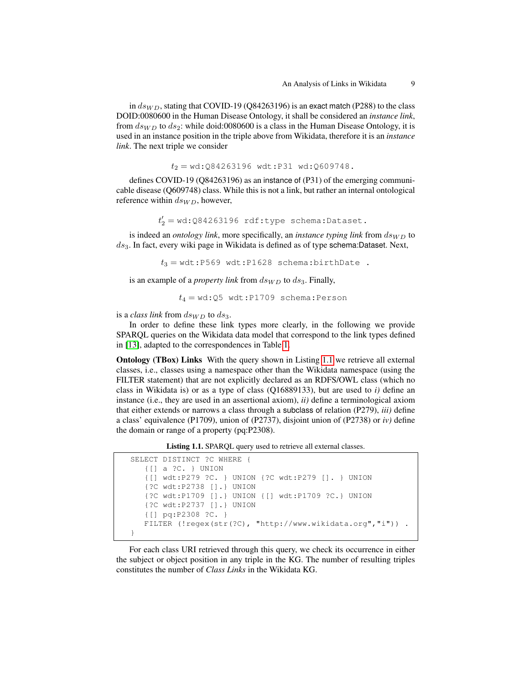in  $ds_{WD}$ , stating that COVID-19 (Q84263196) is an exact match (P288) to the class DOID:0080600 in the Human Disease Ontology, it shall be considered an *instance link*, from  $ds_{WD}$  to  $ds_2$ : while doid:0080600 is a class in the Human Disease Ontology, it is used in an instance position in the triple above from Wikidata, therefore it is an *instance link*. The next triple we consider

 $t_2 = \text{wd}:$  Q84263196 wdt:P31 wd: Q609748.

defines COVID-19 (Q84263196) as an instance of (P31) of the emerging communicable disease (Q609748) class. While this is not a link, but rather an internal ontological reference within  $ds_{WD}$ , however,

 $t'_2 = \texttt{wd:} \texttt{Q84263196} \text{ rdf: type schema:}$ Dataset.

is indeed an *ontology link*, more specifically, an *instance typing link* from  $d_{SWD}$  to  $ds<sub>3</sub>$ . In fact, every wiki page in Wikidata is defined as of type schema:Dataset. Next,

 $t_3 = \text{wdt}:P569 \text{ wdt}:P1628 \text{ schema}:birthDate.$ 

is an example of a *property link* from  $ds_{WD}$  to  $ds_3$ . Finally,

 $t_4 = \text{wd:}$ Q5 wdt:P1709 schema:Person

is a *class link* from  $ds_{WD}$  to  $ds_3$ .

In order to define these link types more clearly, in the following we provide SPARQL queries on the Wikidata data model that correspond to the link types defined in [\[13\]](#page-15-0), adapted to the correspondences in Table [1.](#page-5-0)

Ontology (TBox) Links With the query shown in Listing [1.1](#page-8-0) we retrieve all external classes, i.e., classes using a namespace other than the Wikidata namespace (using the FILTER statement) that are not explicitly declared as an RDFS/OWL class (which no class in Wikidata is) or as a type of class (Q16889133), but are used to *i)* define an instance (i.e., they are used in an assertional axiom), *ii)* define a terminological axiom that either extends or narrows a class through a subclass of relation (P279), *iii)* define a class' equivalence (P1709), union of (P2737), disjoint union of (P2738) or *iv)* define the domain or range of a property (pq:P2308).

Listing 1.1. SPARQL query used to retrieve all external classes.

```
SELECT DISTINCT ?C WHERE {
   {[] a ?C. } UNION
   {[] wdt:P279 ?C. } UNION {?C wdt:P279 []. } UNION
   {?C wdt:P2738 [].} UNION
   {?C wdt:P1709 [].} UNION {[] wdt:P1709 ?C.} UNION
   {?C wdt:P2737 [].} UNION
   {[] pq:P2308 ?C. }
   FILTER (!regex(str(?C), "http://www.wikidata.org","i")) .
}
```
For each class URI retrieved through this query, we check its occurrence in either the subject or object position in any triple in the KG. The number of resulting triples constitutes the number of *Class Links* in the Wikidata KG.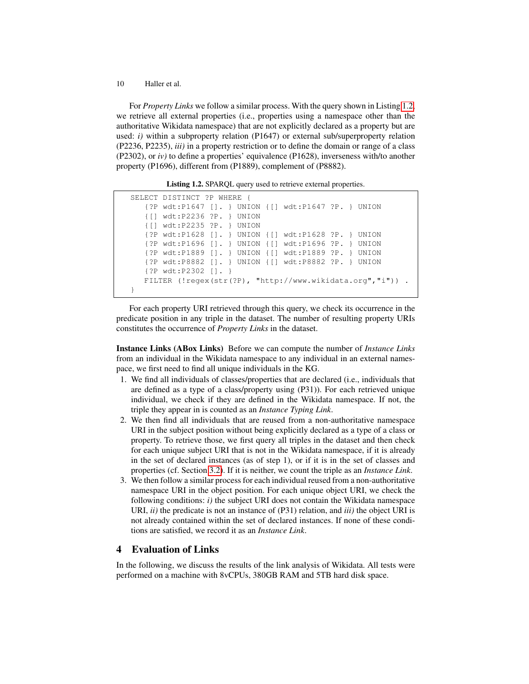For *Property Links* we follow a similar process. With the query shown in Listing [1.2,](#page-9-1) we retrieve all external properties (i.e., properties using a namespace other than the authoritative Wikidata namespace) that are not explicitly declared as a property but are used: *i)* within a subproperty relation (P1647) or external sub/superproperty relation (P2236, P2235), *iii)* in a property restriction or to define the domain or range of a class (P2302), or *iv)* to define a properties' equivalence (P1628), inverseness with/to another property (P1696), different from (P1889), complement of (P8882).

Listing 1.2. SPARQL query used to retrieve external properties.

```
SELECT DISTINCT ?P WHERE {
  {?P wdt:P1647 []. } UNION {[] wdt:P1647 ?P. } UNION
   {[] wdt:P2236 ?P. } UNION
   {[] wdt:P2235 ?P. } UNION
   {?P wdt:P1628 []. } UNION {[] wdt:P1628 ?P. } UNION
   {?P wdt:P1696 []. } UNION {[] wdt:P1696 ?P. } UNION
   {?P wdt:P1889 []. } UNION {[] wdt:P1889 ?P. } UNION
   {?P wdt:P8882 []. } UNION {[] wdt:P8882 ?P. } UNION
   {?P wdt:P2302 []. }
  FILTER (!regex(str(?P), "http://www.wikidata.org","i"))
}
```
For each property URI retrieved through this query, we check its occurrence in the predicate position in any triple in the dataset. The number of resulting property URIs constitutes the occurrence of *Property Links* in the dataset.

Instance Links (ABox Links) Before we can compute the number of *Instance Links* from an individual in the Wikidata namespace to any individual in an external namespace, we first need to find all unique individuals in the KG.

- 1. We find all individuals of classes/properties that are declared (i.e., individuals that are defined as a type of a class/property using (P31)). For each retrieved unique individual, we check if they are defined in the Wikidata namespace. If not, the triple they appear in is counted as an *Instance Typing Link*.
- 2. We then find all individuals that are reused from a non-authoritative namespace URI in the subject position without being explicitly declared as a type of a class or property. To retrieve those, we first query all triples in the dataset and then check for each unique subject URI that is not in the Wikidata namespace, if it is already in the set of declared instances (as of step 1), or if it is in the set of classes and properties (cf. Section [3.2\)](#page-7-1). If it is neither, we count the triple as an *Instance Link*.
- 3. We then follow a similar process for each individual reused from a non-authoritative namespace URI in the object position. For each unique object URI, we check the following conditions: *i)* the subject URI does not contain the Wikidata namespace URI, *ii)* the predicate is not an instance of (P31) relation, and *iii)* the object URI is not already contained within the set of declared instances. If none of these conditions are satisfied, we record it as an *Instance Link*.

# <span id="page-9-0"></span>4 Evaluation of Links

In the following, we discuss the results of the link analysis of Wikidata. All tests were performed on a machine with 8vCPUs, 380GB RAM and 5TB hard disk space.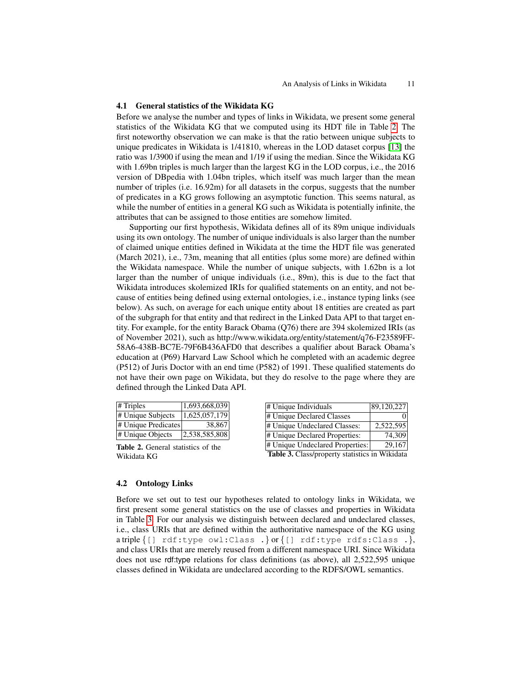### 4.1 General statistics of the Wikidata KG

Before we analyse the number and types of links in Wikidata, we present some general statistics of the Wikidata KG that we computed using its HDT file in Table [2.](#page-10-0) The first noteworthy observation we can make is that the ratio between unique subjects to unique predicates in Wikidata is 1/41810, whereas in the LOD dataset corpus [\[13\]](#page-15-0) the ratio was 1/3900 if using the mean and 1/19 if using the median. Since the Wikidata KG with 1.69bn triples is much larger than the largest KG in the LOD corpus, i.e., the 2016 version of DBpedia with 1.04bn triples, which itself was much larger than the mean number of triples (i.e. 16.92m) for all datasets in the corpus, suggests that the number of predicates in a KG grows following an asymptotic function. This seems natural, as while the number of entities in a general KG such as Wikidata is potentially infinite, the attributes that can be assigned to those entities are somehow limited.

Supporting our first hypothesis, Wikidata defines all of its 89m unique individuals using its own ontology. The number of unique individuals is also larger than the number of claimed unique entities defined in Wikidata at the time the HDT file was generated (March 2021), i.e., 73m, meaning that all entities (plus some more) are defined within the Wikidata namespace. While the number of unique subjects, with 1.62bn is a lot larger than the number of unique individuals (i.e., 89m), this is due to the fact that Wikidata introduces skolemized IRIs for qualified statements on an entity, and not because of entities being defined using external ontologies, i.e., instance typing links (see below). As such, on average for each unique entity about 18 entities are created as part of the subgraph for that entity and that redirect in the Linked Data API to that target entity. For example, for the entity Barack Obama (Q76) there are 394 skolemized IRIs (as of November 2021), such as http://www.wikidata.org/entity/statement/q76-F23589FF-58A6-438B-BC7E-79F6B436AFD0 that describes a qualifier about Barack Obama's education at (P69) Harvard Law School which he completed with an academic degree (P512) of Juris Doctor with an end time (P582) of 1991. These qualified statements do not have their own page on Wikidata, but they do resolve to the page where they are defined through the Linked Data API.

| $#$ Triples         | 1,693,668,039 |
|---------------------|---------------|
| # Unique Subjects   | 1,625,057,179 |
| # Unique Predicates | 38,867        |
| # Unique Objects    | 2,538,585,808 |

<span id="page-10-0"></span>Table 2. General statistics of the Wikidata KG

| # Unique Individuals                             | 89,120,227 |
|--------------------------------------------------|------------|
| # Unique Declared Classes                        |            |
| # Unique Undeclared Classes:                     | 2,522,595  |
| # Unique Declared Properties:                    | 74,309     |
| # Unique Undeclared Properties:                  | 29,167     |
| Table 2. Class mean arty statistics in Wilsidate |            |

<span id="page-10-1"></span>Table 3. Class/property statistics in Wikidata

# 4.2 Ontology Links

Before we set out to test our hypotheses related to ontology links in Wikidata, we first present some general statistics on the use of classes and properties in Wikidata in Table [3.](#page-10-1) For our analysis we distinguish between declared and undeclared classes, i.e., class URIs that are defined within the authoritative namespace of the KG using a triple  $\{[]$  rdf:type owl:Class . } or  $\{[]$  rdf:type rdfs:Class . }, and class URIs that are merely reused from a different namespace URI. Since Wikidata does not use rdf:type relations for class definitions (as above), all 2,522,595 unique classes defined in Wikidata are undeclared according to the RDFS/OWL semantics.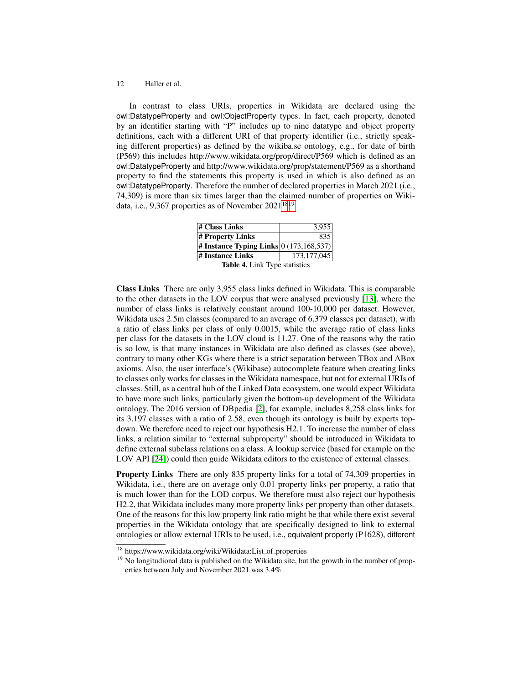In contrast to class URIs, properties in Wikidata are declared using the owl:DatatypeProperty and owl:ObjectProperty types. In fact, each property, denoted by an identifier starting with "P" includes up to nine datatype and object property definitions, each with a different URI of that property identifier (i.e., strictly speaking different properties) as defined by the wikiba.se ontology, e.g., for date of birth (P569) this includes http://www.wikidata.org/prop/direct/P569 which is defined as an owl:DatatypeProperty and http://www.wikidata.org/prop/statement/P569 as a shorthand property to find the statements this property is used in which is also defined as an owl:DatatypeProperty. Therefore the number of declared properties in March 2021 (i.e., 74,309) is more than six times larger than the claimed number of properties on Wikidata, i.e., 9,367 properties as of November  $2021^{1819}$  $2021^{1819}$  $2021^{1819}$  $2021^{1819}$ .

| # Class Links                               | 3.955         |  |
|---------------------------------------------|---------------|--|
| # Property Links                            | 835           |  |
| # Instance Typing Links $(0.173, 168, 537)$ |               |  |
| # Instance Links                            | 173, 177, 045 |  |
| Table 4. Link Type statistics               |               |  |

Class Links There are only 3,955 class links defined in Wikidata. This is comparable to the other datasets in the LOV corpus that were analysed previously [\[13\]](#page-15-0), where the number of class links is relatively constant around 100-10,000 per dataset. However, Wikidata uses 2.5m classes (compared to an average of 6,379 classes per dataset), with a ratio of class links per class of only 0.0015, while the average ratio of class links per class for the datasets in the LOV cloud is 11.27. One of the reasons why the ratio is so low, is that many instances in Wikidata are also defined as classes (see above), contrary to many other KGs where there is a strict separation between TBox and ABox axioms. Also, the user interface's (Wikibase) autocomplete feature when creating links to classes only works for classes in the Wikidata namespace, but not for external URIs of classes. Still, as a central hub of the Linked Data ecosystem, one would expect Wikidata to have more such links, particularly given the bottom-up development of the Wikidata ontology. The 2016 version of DBpedia [\[2\]](#page-15-6), for example, includes 8,258 class links for its 3,197 classes with a ratio of 2.58, even though its ontology is built by experts topdown. We therefore need to reject our hypothesis H2.1. To increase the number of class links, a relation similar to "external subproperty" should be introduced in Wikidata to define external subclass relations on a class. A lookup service (based for example on the LOV API [\[24\]](#page-16-2)) could then guide Wikidata editors to the existence of external classes.

Property Links There are only 835 property links for a total of 74,309 properties in Wikidata, i.e., there are on average only 0.01 property links per property, a ratio that is much lower than for the LOD corpus. We therefore must also reject our hypothesis H2.2, that Wikidata includes many more property links per property than other datasets. One of the reasons for this low property link ratio might be that while there exist several properties in the Wikidata ontology that are specifically designed to link to external ontologies or allow external URIs to be used, i.e., equivalent property (P1628), different

<span id="page-11-0"></span><sup>&</sup>lt;sup>18</sup> https://www.wikidata.org/wiki/Wikidata:List\_of\_properties

<span id="page-11-1"></span><sup>&</sup>lt;sup>19</sup> No longitudional data is published on the Wikidata site, but the growth in the number of properties between July and November 2021 was 3.4%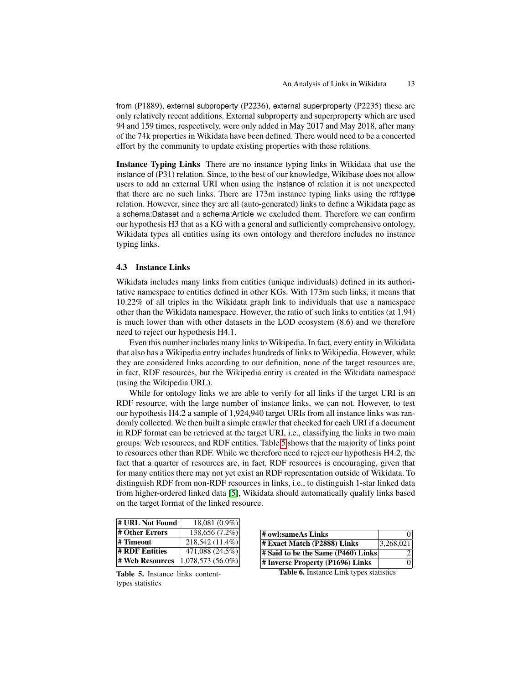from (P1889), external subproperty (P2236), external superproperty (P2235) these are only relatively recent additions. External subproperty and superproperty which are used 94 and 159 times, respectively, were only added in May 2017 and May 2018, after many of the 74k properties in Wikidata have been defined. There would need to be a concerted effort by the community to update existing properties with these relations.

Instance Typing Links There are no instance typing links in Wikidata that use the instance of (P31) relation. Since, to the best of our knowledge, Wikibase does not allow users to add an external URI when using the instance of relation it is not unexpected that there are no such links. There are 173m instance typing links using the rdf:type relation. However, since they are all (auto-generated) links to define a Wikidata page as a schema:Dataset and a schema:Article we excluded them. Therefore we can confirm our hypothesis H3 that as a KG with a general and sufficiently comprehensive ontology, Wikidata types all entities using its own ontology and therefore includes no instance typing links.

### 4.3 Instance Links

Wikidata includes many links from entities (unique individuals) defined in its authoritative namespace to entities defined in other KGs. With 173m such links, it means that 10.22% of all triples in the Wikidata graph link to individuals that use a namespace other than the Wikidata namespace. However, the ratio of such links to entities (at 1.94) is much lower than with other datasets in the LOD ecosystem (8.6) and we therefore need to reject our hypothesis H4.1.

Even this number includes many links to Wikipedia. In fact, every entity in Wikidata that also has a Wikipedia entry includes hundreds of links to Wikipedia. However, while they are considered links according to our definition, none of the target resources are, in fact, RDF resources, but the Wikipedia entity is created in the Wikidata namespace (using the Wikipedia URL).

While for ontology links we are able to verify for all links if the target URI is an RDF resource, with the large number of instance links, we can not. However, to test our hypothesis H4.2 a sample of 1,924,940 target URIs from all instance links was randomly collected. We then built a simple crawler that checked for each URI if a document in RDF format can be retrieved at the target URI, i.e., classifying the links in two main groups: Web resources, and RDF entities. Table [5](#page-12-0) shows that the majority of links point to resources other than RDF. While we therefore need to reject our hypothesis H4.2, the fact that a quarter of resources are, in fact, RDF resources is encouraging, given that for many entities there may not yet exist an RDF representation outside of Wikidata. To distinguish RDF from non-RDF resources in links, i.e., to distinguish 1-star linked data from higher-ordered linked data [\[5\]](#page-15-7), Wikidata should automatically qualify links based on the target format of the linked resource.

| # URL Not Found | 18,081 (0.9%)                |
|-----------------|------------------------------|
| # Other Errors  | 138,656 (7.2%)               |
| # Timeout       | $\overline{218,542}(11.4\%)$ |
| # RDF Entities  | 471,088 (24.5%)              |
| # Web Resources | $(1,078,573(56.0\%)$         |

<span id="page-12-0"></span>Table 5. Instance links contenttypes statistics

| # owl:sameAs Links                 |           |
|------------------------------------|-----------|
| # Exact Match (P2888) Links        | 3.268.021 |
| # Said to be the Same (P460) Links |           |
| # Inverse Property (P1696) Links   |           |

Table 6. Instance Link types statistics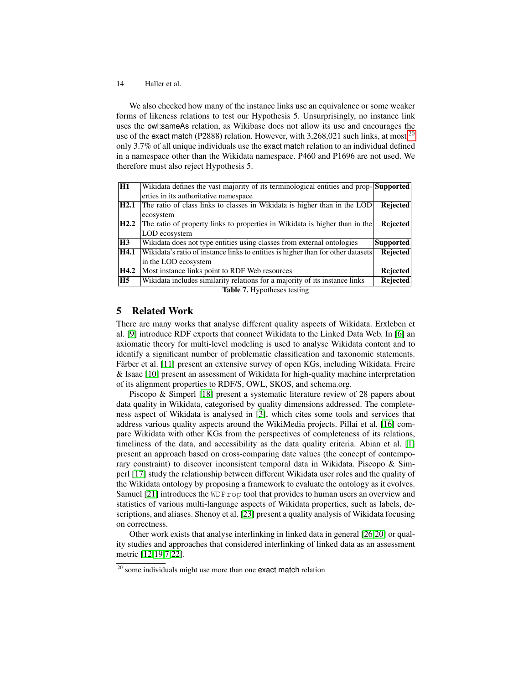We also checked how many of the instance links use an equivalence or some weaker forms of likeness relations to test our Hypothesis 5. Unsurprisingly, no instance link uses the owl:sameAs relation, as Wikibase does not allow its use and encourages the use of the exact match (P2888) relation. However, with  $3,268,021$  such links, at most  $^{20}$  $^{20}$  $^{20}$ only 3.7% of all unique individuals use the exact match relation to an individual defined in a namespace other than the Wikidata namespace. P460 and P1696 are not used. We therefore must also reject Hypothesis 5.

| <b>H1</b>      | Wikidata defines the vast majority of its terminological entities and prop- <b>Supported</b> |                  |
|----------------|----------------------------------------------------------------------------------------------|------------------|
|                | erties in its authoritative namespace                                                        |                  |
| H2.1           | The ratio of class links to classes in Wikidata is higher than in the LOD                    | <b>Rejected</b>  |
|                | ecosystem                                                                                    |                  |
| H2.2           | The ratio of property links to properties in Wikidata is higher than in the                  | <b>Rejected</b>  |
|                | LOD ecosystem                                                                                |                  |
| H <sub>3</sub> | Wikidata does not type entities using classes from external ontologies                       | <b>Supported</b> |
| H4.1           | Wikidata's ratio of instance links to entities is higher than for other datasets             | <b>Rejected</b>  |
|                | in the LOD ecosystem                                                                         |                  |
| H4.2           | Most instance links point to RDF Web resources                                               | <b>Rejected</b>  |
| H <sub>5</sub> | Wikidata includes similarity relations for a majority of its instance links                  | <b>Rejected</b>  |

Table 7. Hypotheses testing

# <span id="page-13-0"></span>5 Related Work

There are many works that analyse different quality aspects of Wikidata. Erxleben et al. [\[9\]](#page-15-8) introduce RDF exports that connect Wikidata to the Linked Data Web. In [\[6\]](#page-15-9) an axiomatic theory for multi-level modeling is used to analyse Wikidata content and to identify a significant number of problematic classification and taxonomic statements. Färber et al. [\[11\]](#page-15-10) present an extensive survey of open KGs, including Wikidata. Freire & Isaac [\[10\]](#page-15-11) present an assessment of Wikidata for high-quality machine interpretation of its alignment properties to RDF/S, OWL, SKOS, and schema.org.

Piscopo & Simperl [\[18\]](#page-15-1) present a systematic literature review of 28 papers about data quality in Wikidata, categorised by quality dimensions addressed. The completeness aspect of Wikidata is analysed in [\[3\]](#page-15-12), which cites some tools and services that address various quality aspects around the WikiMedia projects. Pillai et al. [\[16\]](#page-15-13) compare Wikidata with other KGs from the perspectives of completeness of its relations, timeliness of the data, and accessibility as the data quality criteria. Abian et al. [\[1\]](#page-15-14) present an approach based on cross-comparing date values (the concept of contemporary constraint) to discover inconsistent temporal data in Wikidata. Piscopo & Simperl [\[17\]](#page-15-15) study the relationship between different Wikidata user roles and the quality of the Wikidata ontology by proposing a framework to evaluate the ontology as it evolves. Samuel [\[21\]](#page-16-3) introduces the WDP  $\text{rop}$  tool that provides to human users an overview and statistics of various multi-language aspects of Wikidata properties, such as labels, descriptions, and aliases. Shenoy et al. [\[23\]](#page-16-1) present a quality analysis of Wikidata focusing on correctness.

Other work exists that analyse interlinking in linked data in general [\[26](#page-16-4)[,20\]](#page-16-5) or quality studies and approaches that considered interlinking of linked data as an assessment metric [\[12](#page-15-16)[,19](#page-16-6)[,7](#page-15-17)[,22\]](#page-16-7).

<span id="page-13-1"></span> $20$  some individuals might use more than one exact match relation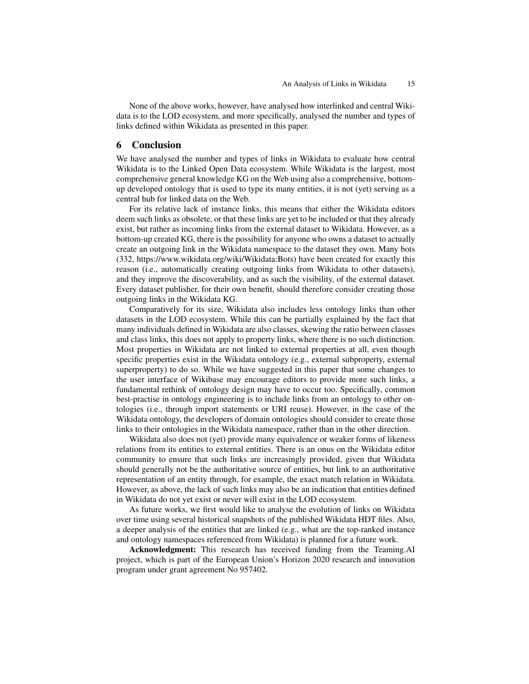None of the above works, however, have analysed how interlinked and central Wikidata is to the LOD ecosystem, and more specifically, analysed the number and types of links defined within Wikidata as presented in this paper.

### <span id="page-14-0"></span>6 Conclusion

We have analysed the number and types of links in Wikidata to evaluate how central Wikidata is to the Linked Open Data ecosystem. While Wikidata is the largest, most comprehensive general knowledge KG on the Web using also a comprehensive, bottomup developed ontology that is used to type its many entities, it is not (yet) serving as a central hub for linked data on the Web.

For its relative lack of instance links, this means that either the Wikidata editors deem such links as obsolete, or that these links are yet to be included or that they already exist, but rather as incoming links from the external dataset to Wikidata. However, as a bottom-up created KG, there is the possibility for anyone who owns a dataset to actually create an outgoing link in the Wikidata namespace to the dataset they own. Many bots (332, https://www.wikidata.org/wiki/Wikidata:Bots) have been created for exactly this reason (i.e., automatically creating outgoing links from Wikidata to other datasets), and they improve the discoverability, and as such the visibility, of the external dataset. Every dataset publisher, for their own benefit, should therefore consider creating those outgoing links in the Wikidata KG.

Comparatively for its size, Wikidata also includes less ontology links than other datasets in the LOD ecosystem. While this can be partially explained by the fact that many individuals defined in Wikidata are also classes, skewing the ratio between classes and class links, this does not apply to property links, where there is no such distinction. Most properties in Wikidata are not linked to external properties at all, even though specific properties exist in the Wikidata ontology (e.g., external subproperty, external superproperty) to do so. While we have suggested in this paper that some changes to the user interface of Wikibase may encourage editors to provide more such links, a fundamental rethink of ontology design may have to occur too. Specifically, common best-practise in ontology engineering is to include links from an ontology to other ontologies (i.e., through import statements or URI reuse). However, in the case of the Wikidata ontology, the developers of domain ontologies should consider to create those links to their ontologies in the Wikidata namespace, rather than in the other direction.

Wikidata also does not (yet) provide many equivalence or weaker forms of likeness relations from its entities to external entities. There is an onus on the Wikidata editor community to ensure that such links are increasingly provided, given that Wikidata should generally not be the authoritative source of entities, but link to an authoritative representation of an entity through, for example, the exact match relation in Wikidata. However, as above, the lack of such links may also be an indication that entities defined in Wikidata do not yet exist or never will exist in the LOD ecosystem.

As future works, we first would like to analyse the evolution of links on Wikidata over time using several historical snapshots of the published Wikidata HDT files. Also, a deeper analysis of the entities that are linked (e.g., what are the top-ranked instance and ontology namespaces referenced from Wikidata) is planned for a future work.

Acknowledgment: This research has received funding from the Teaming.AI project, which is part of the European Union's Horizon 2020 research and innovation program under grant agreement No 957402.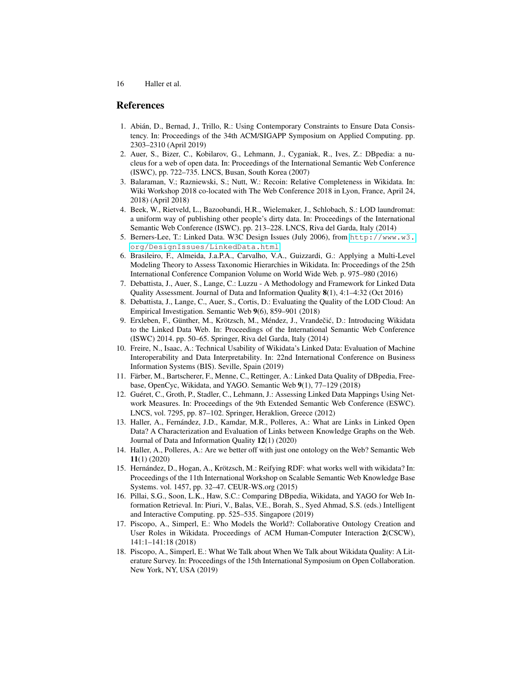# References

- <span id="page-15-14"></span>1. Abian, D., Bernad, J., Trillo, R.: Using Contemporary Constraints to Ensure Data Consis- ´ tency. In: Proceedings of the 34th ACM/SIGAPP Symposium on Applied Computing. pp. 2303–2310 (April 2019)
- <span id="page-15-6"></span>2. Auer, S., Bizer, C., Kobilarov, G., Lehmann, J., Cyganiak, R., Ives, Z.: DBpedia: a nucleus for a web of open data. In: Proceedings of the International Semantic Web Conference (ISWC), pp. 722–735. LNCS, Busan, South Korea (2007)
- <span id="page-15-12"></span>3. Balaraman, V.; Razniewski, S.; Nutt, W.: Recoin: Relative Completeness in Wikidata. In: Wiki Workshop 2018 co-located with The Web Conference 2018 in Lyon, France, April 24, 2018) (April 2018)
- <span id="page-15-4"></span>4. Beek, W., Rietveld, L., Bazoobandi, H.R., Wielemaker, J., Schlobach, S.: LOD laundromat: a uniform way of publishing other people's dirty data. In: Proceedings of the International Semantic Web Conference (ISWC). pp. 213–228. LNCS, Riva del Garda, Italy (2014)
- <span id="page-15-7"></span>5. Berners-Lee, T.: Linked Data. W3C Design Issues (July 2006), from [http://www.w3.](http://www.w3.org/DesignIssues/LinkedData.html) [org/DesignIssues/LinkedData.html](http://www.w3.org/DesignIssues/LinkedData.html)
- <span id="page-15-9"></span>6. Brasileiro, F., Almeida, J.a.P.A., Carvalho, V.A., Guizzardi, G.: Applying a Multi-Level Modeling Theory to Assess Taxonomic Hierarchies in Wikidata. In: Proceedings of the 25th International Conference Companion Volume on World Wide Web. p. 975–980 (2016)
- <span id="page-15-17"></span>7. Debattista, J., Auer, S., Lange, C.: Luzzu - A Methodology and Framework for Linked Data Quality Assessment. Journal of Data and Information Quality 8(1), 4:1–4:32 (Oct 2016)
- <span id="page-15-5"></span>8. Debattista, J., Lange, C., Auer, S., Cortis, D.: Evaluating the Quality of the LOD Cloud: An Empirical Investigation. Semantic Web 9(6), 859–901 (2018)
- <span id="page-15-8"></span>9. Erxleben, F., Günther, M., Krötzsch, M., Méndez, J., Vrandečić, D.: Introducing Wikidata to the Linked Data Web. In: Proceedings of the International Semantic Web Conference (ISWC) 2014. pp. 50–65. Springer, Riva del Garda, Italy (2014)
- <span id="page-15-11"></span>10. Freire, N., Isaac, A.: Technical Usability of Wikidata's Linked Data: Evaluation of Machine Interoperability and Data Interpretability. In: 22nd International Conference on Business Information Systems (BIS). Seville, Spain (2019)
- <span id="page-15-10"></span>11. Farber, M., Bartscherer, F., Menne, C., Rettinger, A.: Linked Data Quality of DBpedia, Free- ¨ base, OpenCyc, Wikidata, and YAGO. Semantic Web 9(1), 77–129 (2018)
- <span id="page-15-16"></span>12. Guéret, C., Groth, P., Stadler, C., Lehmann, J.: Assessing Linked Data Mappings Using Network Measures. In: Proceedings of the 9th Extended Semantic Web Conference (ESWC). LNCS, vol. 7295, pp. 87–102. Springer, Heraklion, Greece (2012)
- <span id="page-15-0"></span>13. Haller, A., Fernández, J.D., Kamdar, M.R., Polleres, A.: What are Links in Linked Open Data? A Characterization and Evaluation of Links between Knowledge Graphs on the Web. Journal of Data and Information Quality 12(1) (2020)
- <span id="page-15-2"></span>14. Haller, A., Polleres, A.: Are we better off with just one ontology on the Web? Semantic Web 11(1) (2020)
- <span id="page-15-3"></span>15. Hernández, D., Hogan, A., Krötzsch, M.: Reifying RDF: what works well with wikidata? In: Proceedings of the 11th International Workshop on Scalable Semantic Web Knowledge Base Systems. vol. 1457, pp. 32–47. CEUR-WS.org (2015)
- <span id="page-15-13"></span>16. Pillai, S.G., Soon, L.K., Haw, S.C.: Comparing DBpedia, Wikidata, and YAGO for Web Information Retrieval. In: Piuri, V., Balas, V.E., Borah, S., Syed Ahmad, S.S. (eds.) Intelligent and Interactive Computing. pp. 525–535. Singapore (2019)
- <span id="page-15-15"></span>17. Piscopo, A., Simperl, E.: Who Models the World?: Collaborative Ontology Creation and User Roles in Wikidata. Proceedings of ACM Human-Computer Interaction 2(CSCW), 141:1–141:18 (2018)
- <span id="page-15-1"></span>18. Piscopo, A., Simperl, E.: What We Talk about When We Talk about Wikidata Quality: A Literature Survey. In: Proceedings of the 15th International Symposium on Open Collaboration. New York, NY, USA (2019)